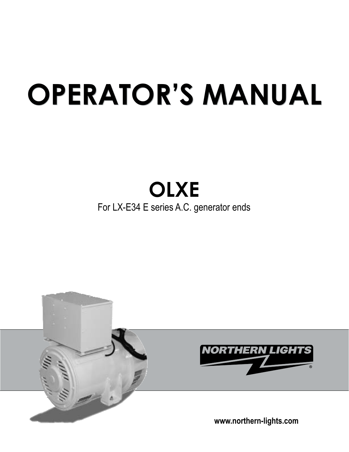# **OPERATOR'S MANUAL OPERATOR'S MANUAL**

## **OLXE** For LX-E34 E series A.C. generator ends

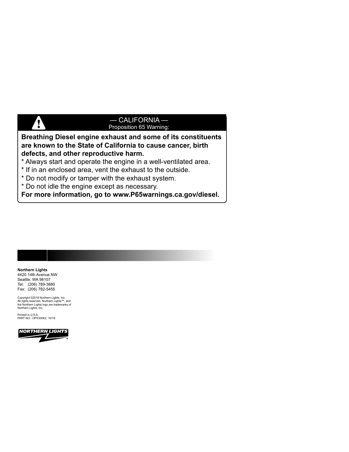#### — CALIFORNIA — Proposition 65 Warning:

#### **Breathing Diesel engine exhaust and some of its constituents are known to the State of California to cause cancer, birth defects, and other reproductive harm.**

- \* Always start and operate the engine in a well-ventilated area.
- \* If in an enclosed area, vent the exhaust to the outside.
- \* Do not modify or tamper with the exhaust system.
- \* Do not idle the engine except as necessary.

**For more information, go to www.P65warnings.ca.gov/diesel.**

#### **Northern Lights**

4420 14th Avenue NW Seattle, WA 98107 Tel: (206) 789-3880 Fax: (206) 782-5455

**V** 

Copyright ©2018 Northern Lights, Inc. All rights reserved. Northern Lights™, and the Northern Lights logo are trademarks of Northern Lights, Inc.

Printed in U.S.A. PART NO.: OPX300K2 10/18

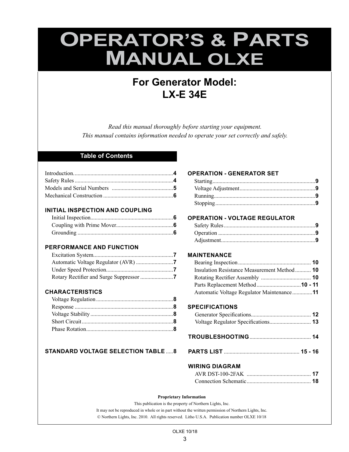## **OPERATOR'S & PARTS MANUAL OLXE**

### **For Generator Model: LX-E 34E**

*Read this manual thoroughly before starting your equipment. This manual contains information needed to operate your set correctly and safely.*

#### **Table of Contents**

#### **INITIAL INSPECTION AND COUPLING**

#### **PERFORMANCE AND FUNCTION**

#### **CHARACTERISTICS**

#### **STANDARD VOLTAGE SELECTION TABLE** .....**8**

#### **OPERATION - GENERATOR SET**

#### **OPERATION - VOLTAGE REGULATOR**

#### **MAINTENANCE**

| Insulation Resistance Measurement Method 10 |  |
|---------------------------------------------|--|
|                                             |  |
| Parts Replacement Method10 - 11             |  |
| Automatic Voltage Regulator Maintenance11   |  |

#### **SPECIFICATIONS**

- **TROUBLESHOOTING**........................................... **14**
- **PARTS LIST** ..................................................... **15 16**

#### **WIRING DIAGRAM**

#### **Proprietary Information**

This publication is the property of Northern Lights, Inc. It may not be reproduced in whole or in part without the written permission of Northern Lights, Inc. © Northern Lights, Inc. 2010. All rights reserved. Litho U.S.A. Publication number OLXE 10/18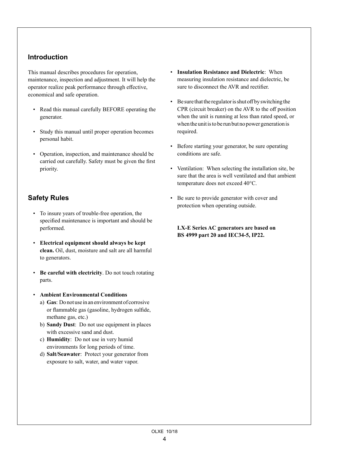#### **Introduction**

This manual describes procedures for operation, maintenance, inspection and adjustment. It will help the operator realize peak performance through effective, economical and safe operation.

- Read this manual carefully BEFORE operating the generator.
- Study this manual until proper operation becomes personal habit.
- Operation, inspection, and maintenance should be carried out carefully. Safety must be given the first priority.

#### **Safety Rules**

- To insure years of trouble-free operation, the specified maintenance is important and should be performed.
- **Electrical equipment should always be kept clean.** Oil, dust, moisture and salt are all harmful to generators.
- **Be careful with electricity**. Do not touch rotating parts.
- **Ambient Environmental Conditions**
	- a) **Gas**: Do not use in an environment of corrosive or flammable gas (gasoline, hydrogen sulfide, methane gas, etc.)
	- b) **Sandy Dust**: Do not use equipment in places with excessive sand and dust.
	- c) **Humidity**: Do not use in very humid environments for long periods of time.
	- d) **Salt/Seawater**: Protect your generator from exposure to salt, water, and water vapor.
- **Insulation Resistance and Dielectric**: When measuring insulation resistance and dielectric, be sure to disconnect the AVR and rectifier.
- Be sure that the regulator is shut off by switching the CPR (circuit breaker) on the AVR to the off position when the unit is running at less than rated speed, or when the unit is to be run but no power generation is required.
- Before starting your generator, be sure operating conditions are safe.
- Ventilation: When selecting the installation site, be sure that the area is well ventilated and that ambient temperature does not exceed 40°C.
- Be sure to provide generator with cover and protection when operating outside.

**LX-E Series AC generators are based on BS 4999 part 20 and IEC34-5, IP22.**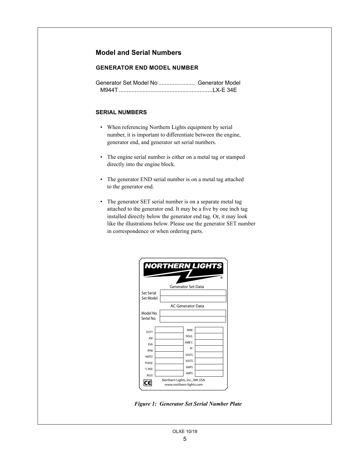#### **Model and Serial Numbers**

#### **GENERATOR END MODEL NUMBER**

#### **SERIAL NUMBERS**

- When referencing Northern Lights equipment by serial number, it is important to differentiate between the engine, generator end, and generator set serial numbers.
- The engine serial number is either on a metal tag or stamped directly into the engine block.
- The generator END serial number is on a metal tag attached to the generator end.
- The generator SET serial number is on a separate metal tag attached to the generator end. It may be a five by one inch tag installed directly below the generator end tag. Or, it may look like the illustrations below. Please use the generator SET number in correspondence or when ordering parts.

|                                | <b>NORTHERN LIGHTS</b>                                   |   |
|--------------------------------|----------------------------------------------------------|---|
|                                | <b>Generator Set Data</b>                                | ൫ |
| <b>Set Serial</b><br>Set Model |                                                          |   |
|                                | <b>AC Generator Data</b>                                 |   |
| Model No.<br>Serial No.        |                                                          |   |
| <b>DUTY</b>                    | <b>WIRF</b>                                              |   |
| KW                             | <b>INSUL</b>                                             |   |
| <b>KVA</b>                     | AMB°C                                                    |   |
| RPM                            | PF                                                       |   |
| <b>HFRTZ</b>                   | VOLTS                                                    |   |
| PHASE                          | VOLTS                                                    |   |
| °C RISE                        | <b>AMPS</b>                                              |   |
| <b>RULE</b>                    | <b>AMPS</b>                                              |   |
|                                | Northern Lights, Inc., WA USA<br>www.northern-lights.com |   |

*Figure 1: Generator Set Serial Number Plate*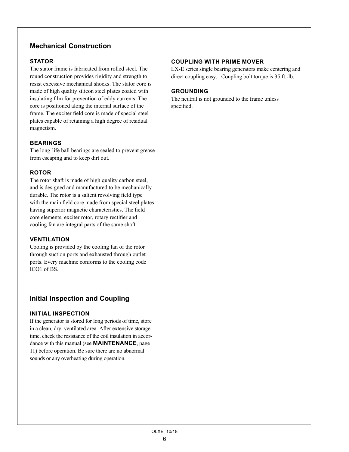#### **Mechanical Construction**

#### **STATOR**

The stator frame is fabricated from rolled steel. The round construction provides rigidity and strength to resist excessive mechanical shocks. The stator core is made of high quality silicon steel plates coated with insulating film for prevention of eddy currents. The core is positioned along the internal surface of the frame. The exciter field core is made of special steel plates capable of retaining a high degree of residual magnetism.

#### **BEARINGS**

The long-life ball bearings are sealed to prevent grease from escaping and to keep dirt out.

#### **ROTOR**

The rotor shaft is made of high quality carbon steel, and is designed and manufactured to be mechanically durable. The rotor is a salient revolving field type with the main field core made from special steel plates having superior magnetic characteristics. The field core elements, exciter rotor, rotary rectifier and cooling fan are integral parts of the same shaft.

#### **VENTILATION**

Cooling is provided by the cooling fan of the rotor through suction ports and exhausted through outlet ports. Every machine conforms to the cooling code ICO1 of BS.

#### **Initial Inspection and Coupling**

#### **INITIAL INSPECTION**

If the generator is stored for long periods of time, store in a clean, dry, ventilated area. After extensive storage time, check the resistance of the coil insulation in accordance with this manual (see **MAINTENANCE**, page 11) before operation. Be sure there are no abnormal sounds or any overheating during operation.

#### **COUPLING WITH PRIME MOVER**

LX-E series single bearing generators make centering and direct coupling easy. Coupling bolt torque is 35 ft.-lb.

#### **GROUNDING**

The neutral is not grounded to the frame unless specified.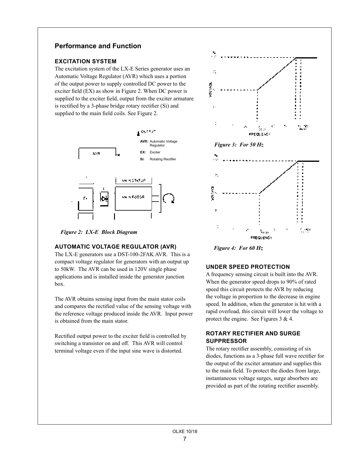#### **Performance and Function**

#### **EXCITATION SYSTEM**

The excitation system of the LX-E Series generator uses an Automatic Voltage Regulator (AVR) which uses a portion of the output power to supply controlled DC power to the exciter field (EX) as show in Figure 2. When DC power is supplied to the exciter field, output from the exciter armature is rectified by a 3-phase bridge rotary rectifier (Si) and supplied to the main field coils. See Figure 2.



*Figure 2: LX-E Block Diagram*

#### **AUTOMATIC VOLTAGE REGULATOR (AVR)**

The LX-E generators use a DST-100-2FAK AVR. This is a compact voltage regulator for generators with an output up to 50kW. The AVR can be used in 120V single phase applications and is installed inside the generator junction box.

The AVR obtains sensing input from the main stator coils and compares the rectified value of the sensing voltage with the reference voltage produced inside the AVR. Input power is obtained from the main stator.

Rectified output power to the exciter field is controlled by switching a transistor on and off. This AVR will control terminal voltage even if the input sine wave is distorted.



*Figure 4: For 60 Hz*

#### **UNDER SPEED PROTECTION**

A frequency sensing circuit is built into the AVR. When the generator speed drops to 90% of rated speed this circuit protects the AVR by reducing the voltage in proportion to the decrease in engine speed. In addition, when the generator is hit with a rapid overload, this circuit will lower the voltage to protect the engine. See Figures 3 & 4.

#### **ROTARY RECTIFIER AND SURGE SUPPRESSOR**

The rotary rectifier assembly, consisting of six diodes, functions as a 3-phase full wave rectifier for the output of the exciter armature and supplies this to the main field. To protect the diodes from large, instantaneous voltage surges, surge absorbers are provided as part of the rotating rectifier assembly.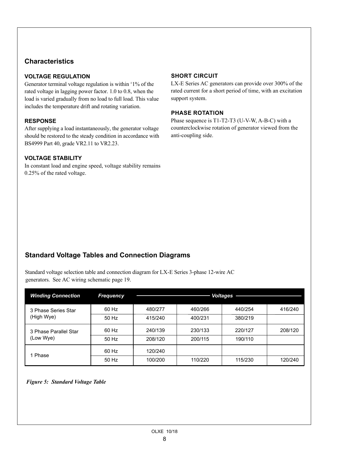#### **Characteristics**

#### **VOLTAGE REGULATION**

Generator terminal voltage regulation is within  $^{\pm}1\%$  of the rated voltage in lagging power factor. 1.0 to 0.8, when the load is varied gradually from no load to full load. This value includes the temperature drift and rotating variation.

#### **RESPONSE**

After supplying a load instantaneously, the generator voltage should be restored to the steady condition in accordance with BS4999 Part 40, grade VR2.11 to VR2.23.

#### **VOLTAGE STABILITY**

In constant load and engine speed, voltage stability remains 0.25% of the rated voltage.

#### **SHORT CIRCUIT**

LX-E Series AC generators can provide over 300% of the rated current for a short period of time, with an excitation support system.

#### **PHASE ROTATION**

Phase sequence is T1-T2-T3 (U-V-W, A-B-C) with a counterclockwise rotation of generator viewed from the anti-coupling side.

#### **Standard Voltage Tables and Connection Diagrams**

Standard voltage selection table and connection diagram for LX-E Series 3-phase 12-wire AC generators. See AC wiring schematic page 19.

| <b>Winding Connection</b> | <b>Frequency</b> | <b>Voltages</b> |         |         |         |
|---------------------------|------------------|-----------------|---------|---------|---------|
| 3 Phase Series Star       | 60 Hz            | 480/277         | 460/266 | 440/254 | 416/240 |
| (High Wye)                | 50 Hz            | 415/240         | 400/231 | 380/219 |         |
| 3 Phase Parallel Star     | 60 Hz            | 240/139         | 230/133 | 220/127 | 208/120 |
| (Low Wye)                 | 50 Hz            | 208/120         | 200/115 | 190/110 |         |
| 1 Phase                   | 60 Hz            | 120/240         |         |         |         |
|                           | 50 Hz            | 100/200         | 110/220 | 115/230 | 120/240 |

*Figure 5: Standard Voltage Table*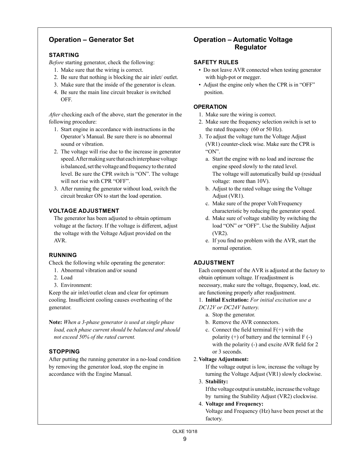#### **Operation – Generator Set**

#### **STARTING**

*Before* starting generator, check the following:

- 1. Make sure that the wiring is correct.
- 2. Be sure that nothing is blocking the air inlet/ outlet.
- 3. Make sure that the inside of the generator is clean.
- 4. Be sure the main line circuit breaker is switched OFF.

*After* checking each of the above, start the generator in the following procedure:

- 1. Start engine in accordance with instructions in the Operator's Manual. Be sure there is no abnormal sound or vibration.
- 2. The voltage will rise due to the increase in generator speed. After making sure that each interphase voltage is balanced, set the voltage and frequency to the rated level. Be sure the CPR switch is "ON". The voltage will not rise with CPR "OFF".
- 3. After running the generator without load, switch the circuit breaker ON to start the load operation.

#### **VOLTAGE ADJUSTMENT**

The generator has been adjusted to obtain optimum voltage at the factory. If the voltage is different, adjust the voltage with the Voltage Adjust provided on the AVR.

#### **RUNNING**

Check the following while operating the generator:

- 1. Abnormal vibration and/or sound
- 2. Load
- 3. Environment:

Keep the air inlet/outlet clean and clear for optimum cooling. Insufficient cooling causes overheating of the generator.

**Note:** *When a 3-phase generator is used at single phase load, each phase current should be balanced and should not exceed 50% of the rated current.* 

#### **STOPPING**

After putting the running generator in a no-load condition by removing the generator load, stop the engine in accordance with the Engine Manual.

#### **Operation – Automatic Voltage Regulator**

#### **SAFETY RULES**

- Do not leave AVR connected when testing generator with high-pot or megger.
- Adjust the engine only when the CPR is in "OFF" position.

#### **OPERATION**

- 1. Make sure the wiring is correct.
- 2. Make sure the frequency selection switch is set to the rated frequency (60 or 50 Hz).
- 3. To adjust the voltage turn the Voltage Adjust (VR1) counter-clock wise. Make sure the CPR is "ON".
	- a. Start the engine with no load and increase the engine speed slowly to the rated level. The voltage will automatically build up (residual voltage: more than 10V).
	- b. Adjust to the rated voltage using the Voltage Adjust (VR1).
	- c. Make sure of the proper Volt/Frequency characteristic by reducing the generator speed.
	- d. Make sure of voltage stability by switching the load "ON" or "OFF". Use the Stability Adjust (VR2).
	- e. If you find no problem with the AVR, start the normal operation.

#### **ADJUSTMENT**

Each component of the AVR is adjusted at the factory to obtain optimum voltage. If readjustment is necessary, make sure the voltage, frequency, load, etc. are functioning properly after readjustment.

1. **Initial Excitation:** *For initial excitation use a DC12V or DC24V battery.* 

- a. Stop the generator.
- b. Remove the AVR connectors.
- c. Connect the field terminal  $F(+)$  with the polarity  $(+)$  of battery and the terminal  $F(-)$ with the polarity (-) and excite AVR field for 2 or 3 seconds.

#### 2. **Voltage Adjustment:**

If the voltage output is low, increase the voltage by turning the Voltage Adjust (VR1) slowly clockwise.

3. **Stability:**

 If the voltage output is unstable, increase the voltage by turning the Stability Adjust (VR2) clockwise.

4. **Voltage and Frequency:**

 Voltage and Frequency (Hz) have been preset at the factory.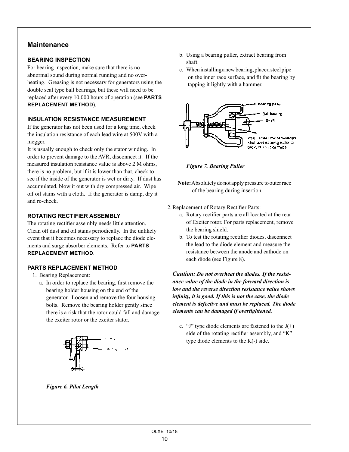#### **Maintenance**

#### **BEARING INSPECTION**

For bearing inspection, make sure that there is no abnormal sound during normal running and no overheating. Greasing is not necessary for generators using the double seal type ball bearings, but these will need to be replaced after every 10,000 hours of operation (see **PARTS REPLACEMENT METHOD**).

#### **INSULATION RESISTANCE MEASUREMENT**

If the generator has not been used for a long time, check the insulation resistance of each lead wire at 500V with a megger.

It is usually enough to check only the stator winding. In order to prevent damage to the AVR, disconnect it. If the measured insulation resistance value is above 2 M ohms, there is no problem, but if it is lower than that, check to see if the inside of the generator is wet or dirty. If dust has accumulated, blow it out with dry compressed air. Wipe off oil stains with a cloth. If the generator is damp, dry it and re-check.

#### **ROTATING RECTIFIER ASSEMBLY**

The rotating rectifier assembly needs little attention. Clean off dust and oil stains periodically. In the unlikely event that it becomes necessary to replace the diode elements and surge absorber elements. Refer to **PARTS REPLACEMENT METHOD**.

#### **PARTS REPLACEMENT METHOD**

- 1. Bearing Replacement:
	- a. In order to replace the bearing, first remove the bearing holder housing on the end of the generator. Loosen and remove the four housing bolts. Remove the bearing holder gently since there is a risk that the rotor could fall and damage the exciter rotor or the exciter stator.



- b. Using a bearing puller, extract bearing from shaft.
- c. When installing a new bearing, place a steel pipe on the inner race surface, and fit the bearing by tapping it lightly with a hammer.



 *Figure 7. Bearing Puller*

- **Note:** Absolutely do not apply pressure to outer race of the bearing during insertion.
- 2.Replacement of Rotary Rectifier Parts:
	- a. Rotary rectifier parts are all located at the rear of Exciter rotor. For parts replacement, remove the bearing shield.
	- b. To test the rotating rectifier diodes, disconnect the lead to the diode element and measure the resistance between the anode and cathode on each diode (see Figure 8).

*Caution: Do not overheat the diodes. If the resistance value of the diode in the forward direction is low and the reverse direction resistance value shows infinity, it is good. If this is not the case, the diode element is defective and must be replaced. The diode elements can be damaged if overtightened.*

c. "J" type diode elements are fastened to the  $J(+)$  side of the rotating rectifier assembly, and "K" type diode elements to the  $K(-)$  side.

 *Figure 6. Pilot Length*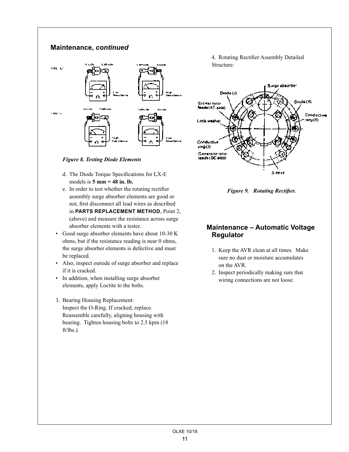#### **Maintenance,** *continued*



 *Figure 8. Testing Diode Elements*

- d. The Diode Torque Specifications for LX-E models is **5 mm = 48 in. lb.**
- e. In order to test whether the rotating rectifier assembly surge absorber elements are good or not, first disconnect all lead wires as described in **PARTS REPLACEMENT METHOD**, Point 2, (above) and measure the resistance across surge absorber elements with a tester.
- Good surge absorber elements have about 10-30 K ohms, but if the resistance reading is near 0 ohms, the surge absorber elements is defective and must be replaced.
- Also, inspect outside of surge absorber and replace if it is cracked.
- In addition, when installing surge absorber elements, apply Loctite to the bolts.
- 3. Bearing Housing Replacement: Inspect the O-Ring. If cracked, replace. Reassemble carefully, aligning housing with bearing. Tighten housing bolts to 2.5 kpm (18 ft/lbs.).

4. Rotating Rectifier Assembly Detailed Structure:



 *Figure 9. Rotating Rectifier.*

#### **Maintenance – Automatic Voltage Regulator**

- 1. Keep the AVR clean at all times. Make sure no dust or moisture accumulates on the AVR.
- 2. Inspect periodically making sure that wiring connections are not loose.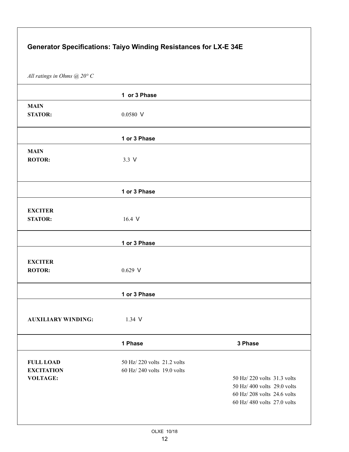| Generator Specifications: Taiyo Winding Resistances for LX-E 34E |                                                            |                                                                                                                       |  |  |
|------------------------------------------------------------------|------------------------------------------------------------|-----------------------------------------------------------------------------------------------------------------------|--|--|
| All ratings in Ohms $@$ 20° C                                    |                                                            |                                                                                                                       |  |  |
|                                                                  | 1 or 3 Phase                                               |                                                                                                                       |  |  |
| <b>MAIN</b><br><b>STATOR:</b>                                    | $0.0580$ V                                                 |                                                                                                                       |  |  |
|                                                                  | 1 or 3 Phase                                               |                                                                                                                       |  |  |
| <b>MAIN</b><br><b>ROTOR:</b>                                     | $3.3 \text{ V}$                                            |                                                                                                                       |  |  |
|                                                                  | 1 or 3 Phase                                               |                                                                                                                       |  |  |
| <b>EXCITER</b><br><b>STATOR:</b>                                 | 16.4 V                                                     |                                                                                                                       |  |  |
|                                                                  | 1 or 3 Phase                                               |                                                                                                                       |  |  |
| <b>EXCITER</b><br><b>ROTOR:</b>                                  | $0.629$ V                                                  |                                                                                                                       |  |  |
|                                                                  | 1 or 3 Phase                                               |                                                                                                                       |  |  |
| <b>AUXILIARY WINDING:</b>                                        | 1.34 V                                                     |                                                                                                                       |  |  |
|                                                                  | 1 Phase                                                    | 3 Phase                                                                                                               |  |  |
| <b>FULL LOAD</b><br><b>EXCITATION</b><br><b>VOLTAGE:</b>         | 50 Hz/ 220 volts 21.2 volts<br>60 Hz/ 240 volts 19.0 volts | 50 Hz/ 220 volts 31.3 volts<br>50 Hz/400 volts 29.0 volts<br>60 Hz/208 volts 24.6 volts<br>60 Hz/480 volts 27.0 volts |  |  |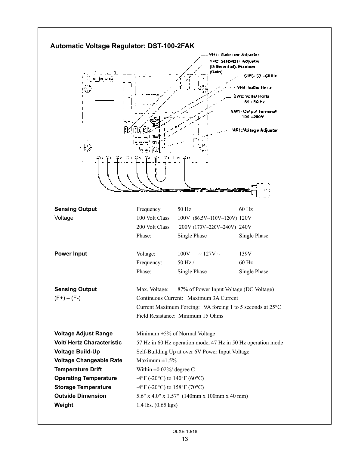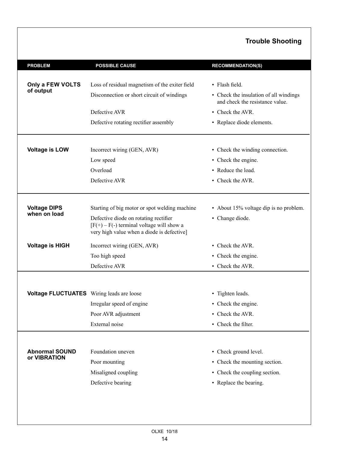#### **Trouble Shooting**

| <b>PROBLEM</b>                                   | <b>POSSIBLE CAUSE</b>                                                                                                              | <b>RECOMMENDATION(S)</b>                                                  |
|--------------------------------------------------|------------------------------------------------------------------------------------------------------------------------------------|---------------------------------------------------------------------------|
|                                                  |                                                                                                                                    |                                                                           |
| Only a FEW VOLTS                                 | Loss of residual magnetism of the exiter field                                                                                     | • Flash field.                                                            |
| of output                                        | Disconnection or short circuit of windings                                                                                         | • Check the insulation of all windings<br>and check the resistance value. |
|                                                  | Defective AVR                                                                                                                      | • Check the AVR.                                                          |
|                                                  | Defective rotating rectifier assembly                                                                                              | • Replace diode elements.                                                 |
| <b>Voltage is LOW</b>                            | Incorrect wiring (GEN, AVR)                                                                                                        | • Check the winding connection.                                           |
|                                                  | Low speed                                                                                                                          | • Check the engine.                                                       |
|                                                  | Overload                                                                                                                           | • Reduce the load.                                                        |
|                                                  | Defective AVR                                                                                                                      | • Check the AVR.                                                          |
|                                                  |                                                                                                                                    |                                                                           |
| <b>Voltage DIPS</b><br>when on load              | Starting of big motor or spot welding machine                                                                                      | • About 15% voltage dip is no problem.                                    |
|                                                  | Defective diode on rotating rectifier<br>$[F(+) - F(-)$ terminal voltage will show a<br>very high value when a diode is defective] | • Change diode.                                                           |
| <b>Voltage is HIGH</b>                           | Incorrect wiring (GEN, AVR)                                                                                                        | • Check the AVR.                                                          |
|                                                  | Too high speed                                                                                                                     | • Check the engine.                                                       |
|                                                  | Defective AVR                                                                                                                      | • Check the AVR.                                                          |
|                                                  |                                                                                                                                    |                                                                           |
| <b>Voltage FLUCTUATES</b> Wiring leads are loose |                                                                                                                                    | • Tighten leads.                                                          |
|                                                  | Irregular speed of engine                                                                                                          | • Check the engine.                                                       |
|                                                  | Poor AVR adjustment                                                                                                                | • Check the AVR.                                                          |
|                                                  | External noise                                                                                                                     | • Check the filter.                                                       |
|                                                  |                                                                                                                                    |                                                                           |
| <b>Abnormal SOUND</b>                            | Foundation uneven                                                                                                                  | • Check ground level.                                                     |
| or VIBRATION                                     | Poor mounting                                                                                                                      | • Check the mounting section.                                             |
|                                                  | Misaligned coupling                                                                                                                | • Check the coupling section.                                             |
|                                                  | Defective bearing                                                                                                                  | • Replace the bearing.                                                    |
|                                                  |                                                                                                                                    |                                                                           |
|                                                  |                                                                                                                                    |                                                                           |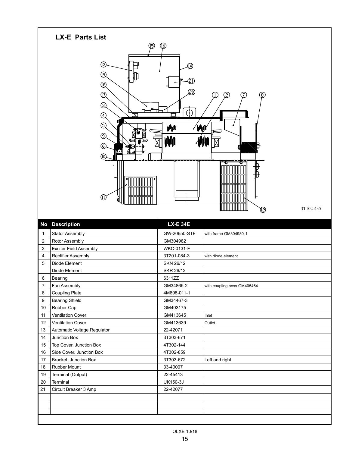

21 Circuit Breaker 3 Amp 22-42077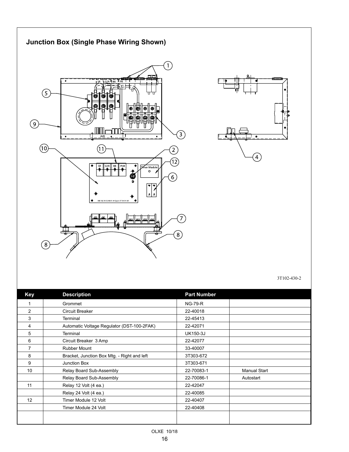

3T102-430-2

| <b>Key</b>  | <b>Description</b>                          | <b>Part Number</b> |                     |
|-------------|---------------------------------------------|--------------------|---------------------|
| $\mathbf 1$ | Grommet                                     | <b>NG-79-R</b>     |                     |
| 2           | <b>Circuit Breaker</b>                      | 22-40018           |                     |
| 3           | Terminal                                    | 22-45413           |                     |
| 4           | Automatic Voltage Regulator (DST-100-2FAK)  | 22-42071           |                     |
| 5           | Terminal                                    | <b>UK150-3J</b>    |                     |
| 6           | Circuit Breaker 3 Amp                       | 22-42077           |                     |
| 7           | <b>Rubber Mount</b>                         | 33-40007           |                     |
| 8           | Bracket, Junction Box Mtg. - Right and left | 3T303-672          |                     |
| 9           | Junction Box                                | 3T303-671          |                     |
| 10          | Relay Board Sub-Assembly                    | 22-70083-1         | <b>Manual Start</b> |
|             | Relay Board Sub-Assembly                    | 22-70086-1         | Autostart           |
| 11          | Relay 12 Volt (4 ea.)                       | 22-42047           |                     |
|             | Relay 24 Volt (4 ea.)                       | 22-40085           |                     |
| 12          | Timer Module 12 Volt                        | 22-40407           |                     |
|             | Timer Module 24 Volt                        | 22-40408           |                     |
|             |                                             |                    |                     |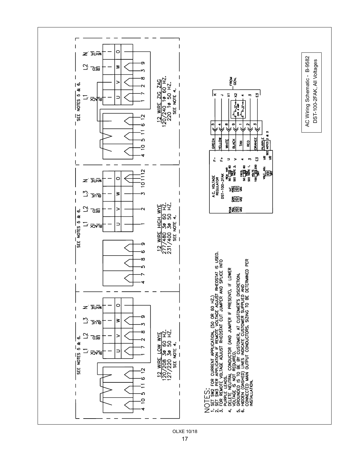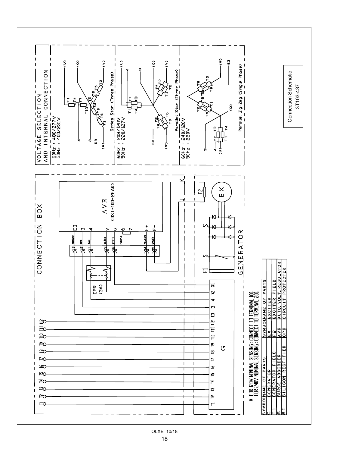![](_page_17_Figure_0.jpeg)